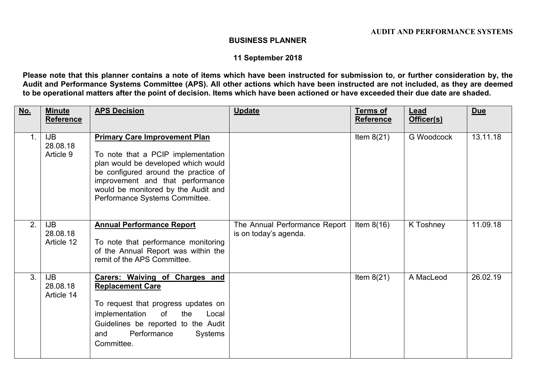## **BUSINESS PLANNER**

## **11 September 2018**

Please note that this planner contains a note of items which have been instructed for submission to, or further consideration by, the Audit and Performance Systems Committee (APS). All other actions which have been instructed are not included, as they are deemed to be operational matters after the point of decision. Items which have been actioned or have exceeded their due date are shaded.

| No.            | <b>Minute</b><br><b>Reference</b>    | <b>APS Decision</b>                                                                                                                                                                                                                                                    | <b>Update</b>                                          | <b>Terms of</b><br><b>Reference</b> | Lead<br>Officer(s) | <b>Due</b> |
|----------------|--------------------------------------|------------------------------------------------------------------------------------------------------------------------------------------------------------------------------------------------------------------------------------------------------------------------|--------------------------------------------------------|-------------------------------------|--------------------|------------|
| 1 <sub>1</sub> | <b>IJB</b><br>28.08.18<br>Article 9  | <b>Primary Care Improvement Plan</b><br>To note that a PCIP implementation<br>plan would be developed which would<br>be configured around the practice of<br>improvement and that performance<br>would be monitored by the Audit and<br>Performance Systems Committee. |                                                        | Item $8(21)$                        | G Woodcock         | 13.11.18   |
| 2.             | IJB<br>28.08.18<br>Article 12        | <b>Annual Performance Report</b><br>To note that performance monitoring<br>of the Annual Report was within the<br>remit of the APS Committee.                                                                                                                          | The Annual Performance Report<br>is on today's agenda. | Item $8(16)$                        | K Toshney          | 11.09.18   |
| 3 <sub>1</sub> | <b>IJB</b><br>28.08.18<br>Article 14 | <b>Carers: Waiving of Charges and</b><br><b>Replacement Care</b><br>To request that progress updates on<br>of<br>implementation<br>the<br>Local<br>Guidelines be reported to the Audit<br>Performance<br>Systems<br>and<br>Committee.                                  |                                                        | Item $8(21)$                        | A MacLeod          | 26.02.19   |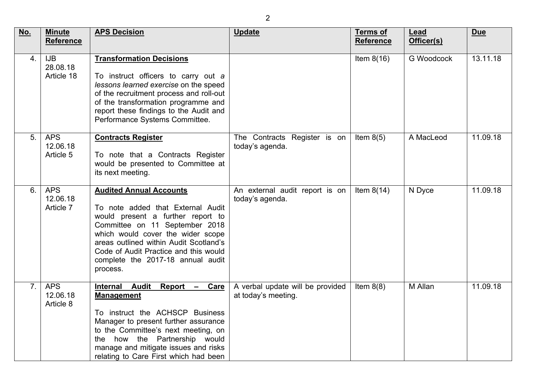| No.            | <b>Minute</b><br><b>Reference</b>    | <b>APS Decision</b>                                                                                                                                                                                                                                                                                                 | <b>Update</b>                                           | <b>Terms of</b><br><b>Reference</b> | Lead<br>Officer(s) | <b>Due</b> |
|----------------|--------------------------------------|---------------------------------------------------------------------------------------------------------------------------------------------------------------------------------------------------------------------------------------------------------------------------------------------------------------------|---------------------------------------------------------|-------------------------------------|--------------------|------------|
| 4.             | <b>IJB</b><br>28.08.18<br>Article 18 | <b>Transformation Decisions</b><br>To instruct officers to carry out a<br>lessons learned exercise on the speed<br>of the recruitment process and roll-out<br>of the transformation programme and<br>report these findings to the Audit and<br>Performance Systems Committee.                                       |                                                         | Item $8(16)$                        | <b>G</b> Woodcock  | 13.11.18   |
| 5.             | <b>APS</b><br>12.06.18<br>Article 5  | <b>Contracts Register</b><br>To note that a Contracts Register<br>would be presented to Committee at<br>its next meeting.                                                                                                                                                                                           | The Contracts Register is on<br>today's agenda.         | Item $8(5)$                         | A MacLeod          | 11.09.18   |
| 6.             | <b>APS</b><br>12.06.18<br>Article 7  | <b>Audited Annual Accounts</b><br>To note added that External Audit<br>would present a further report to<br>Committee on 11 September 2018<br>which would cover the wider scope<br>areas outlined within Audit Scotland's<br>Code of Audit Practice and this would<br>complete the 2017-18 annual audit<br>process. | An external audit report is on<br>today's agenda.       | Item $8(14)$                        | N Dyce             | 11.09.18   |
| 7 <sub>1</sub> | <b>APS</b><br>12.06.18<br>Article 8  | Internal Audit<br>Report - Care<br><b>Management</b><br>To instruct the ACHSCP Business<br>Manager to present further assurance<br>to the Committee's next meeting, on<br>the how the Partnership would<br>manage and mitigate issues and risks<br>relating to Care First which had been                            | A verbal update will be provided<br>at today's meeting. | Item $8(8)$                         | M Allan            | 11.09.18   |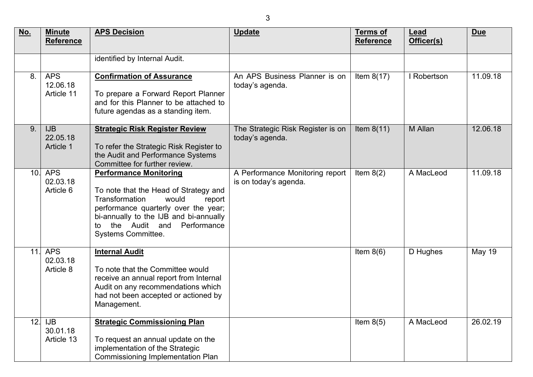| <u>No.</u> | <b>Minute</b><br><b>Reference</b>    | <b>APS Decision</b>                                                                                                                                                                                                                                              | <b>Update</b>                                            | <b>Terms of</b><br><b>Reference</b> | Lead<br>Officer(s) | <b>Due</b>    |
|------------|--------------------------------------|------------------------------------------------------------------------------------------------------------------------------------------------------------------------------------------------------------------------------------------------------------------|----------------------------------------------------------|-------------------------------------|--------------------|---------------|
|            |                                      | identified by Internal Audit.                                                                                                                                                                                                                                    |                                                          |                                     |                    |               |
| 8.         | <b>APS</b><br>12.06.18<br>Article 11 | <b>Confirmation of Assurance</b><br>To prepare a Forward Report Planner<br>and for this Planner to be attached to<br>future agendas as a standing item.                                                                                                          | An APS Business Planner is on<br>today's agenda.         | Item $8(17)$                        | I Robertson        | 11.09.18      |
| 9.         | <b>IJB</b><br>22.05.18<br>Article 1  | <b>Strategic Risk Register Review</b><br>To refer the Strategic Risk Register to<br>the Audit and Performance Systems<br>Committee for further review.                                                                                                           | The Strategic Risk Register is on<br>today's agenda.     | Item $8(11)$                        | M Allan            | 12.06.18      |
| 10.        | <b>APS</b><br>02.03.18<br>Article 6  | <b>Performance Monitoring</b><br>To note that the Head of Strategy and<br><b>Transformation</b><br>would<br>report<br>performance quarterly over the year;<br>bi-annually to the IJB and bi-annually<br>the Audit and<br>Performance<br>to<br>Systems Committee. | A Performance Monitoring report<br>is on today's agenda. | Item $8(2)$                         | A MacLeod          | 11.09.18      |
| 11.        | <b>APS</b><br>02.03.18<br>Article 8  | <b>Internal Audit</b><br>To note that the Committee would<br>receive an annual report from Internal<br>Audit on any recommendations which<br>had not been accepted or actioned by<br>Management.                                                                 |                                                          | Item $8(6)$                         | D Hughes           | <b>May 19</b> |
| 12.        | <b>IJB</b><br>30.01.18<br>Article 13 | <b>Strategic Commissioning Plan</b><br>To request an annual update on the<br>implementation of the Strategic<br><b>Commissioning Implementation Plan</b>                                                                                                         |                                                          | Item $8(5)$                         | A MacLeod          | 26.02.19      |